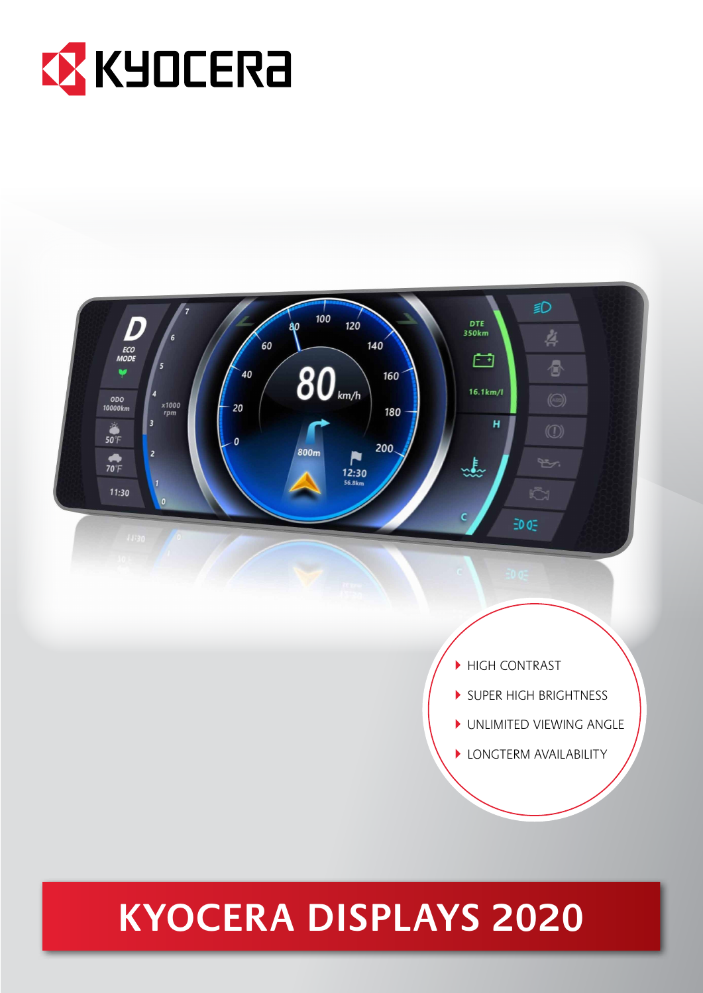



# **KYOCERA DISPLAYS 2020**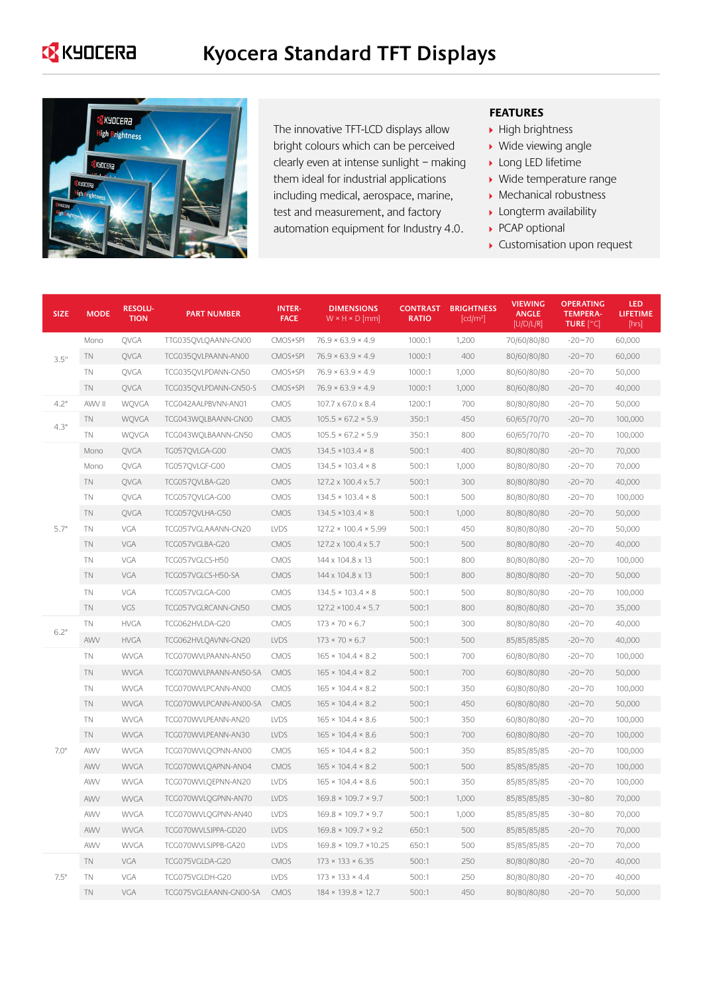### **EX** KYOCERA



The innovative TFT-LCD displays allow bright colours which can be perceived clearly even at intense sunlight – making them ideal for industrial applications including medical, aerospace, marine, test and measurement, and factory automation equipment for Industry 4.0.

#### **FEATURES**

- $\blacktriangleright$  High brightness
- ▶ Wide viewing angle
- **Long LED lifetime**
- Wide temperature range
- Mechanical robustness
- **Longterm availability**
- ▶ PCAP optional
- Customisation upon request

| <b>SIZE</b> | <b>MODE</b> | <b>RESOLU-</b><br><b>TION</b> | <b>PART NUMBER</b>     | <b>INTER-</b><br><b>FACE</b> | <b>DIMENSIONS</b><br>$W \times H \times D$ [mm] | <b>CONTRAST</b><br><b>RATIO</b> | <b>BRIGHTNESS</b><br>[cd/m <sup>2</sup> ] | <b>VIEWING</b><br><b>ANGLE</b><br>[U/D/L/R] | <b>OPERATING</b><br><b>TEMPERA-</b><br><b>TURE</b> [°C] | LED<br><b>LIFETIME</b><br>[hrs] |
|-------------|-------------|-------------------------------|------------------------|------------------------------|-------------------------------------------------|---------------------------------|-------------------------------------------|---------------------------------------------|---------------------------------------------------------|---------------------------------|
| 3.5"        | Mono        | OVGA                          | TTG035OVLOAANN-GN00    | CMOS+SPI                     | $76.9 \times 63.9 \times 4.9$                   | 1000:1                          | 1,200                                     | 70/60/80/80                                 | $-20 - 70$                                              | 60,000                          |
|             | <b>TN</b>   | QVGA                          | TCG035QVLPAANN-AN00    | CMOS+SPI                     | $76.9 \times 63.9 \times 4.9$                   | 1000:1                          | 400                                       | 80/60/80/80                                 | $-20 - 70$                                              | 60,000                          |
|             | <b>TN</b>   | QVGA                          | TCG035QVLPDANN-GN50    | CMOS+SPI                     | $76.9 \times 63.9 \times 4.9$                   | 1000:1                          | 1,000                                     | 80/60/80/80                                 | $-20 - 70$                                              | 50,000                          |
|             | <b>TN</b>   | QVGA                          | TCG035QVLPDANN-GN50-S  | CMOS+SPI                     | $76.9 \times 63.9 \times 4.9$                   | 1000:1                          | 1,000                                     | 80/60/80/80                                 | $-20 - 70$                                              | 40,000                          |
| 4.2"        | AWV II      | WQVGA                         | TCG042AALPBVNN-AN01    | <b>CMOS</b>                  | 107.7 x 67.0 x 8.4                              | 1200:1                          | 700                                       | 80/80/80/80                                 | $-20 - 70$                                              | 50,000                          |
| 4.3"        | <b>TN</b>   | WOVGA                         | TCG043WQLBAANN-GN00    | <b>CMOS</b>                  | $105.5 \times 67.2 \times 5.9$                  | 350:1                           | 450                                       | 60/65/70/70                                 | $-20 - 70$                                              | 100,000                         |
|             | <b>TN</b>   | WQVGA                         | TCG043WQLBAANN-GN50    | CMOS                         | $105.5 \times 67.2 \times 5.9$                  | 350:1                           | 800                                       | 60/65/70/70                                 | $-20 - 70$                                              | 100,000                         |
|             | Mono        | QVGA                          | TG057QVLGA-G00         | <b>CMOS</b>                  | $134.5 \times 103.4 \times 8$                   | 500:1                           | 400                                       | 80/80/80/80                                 | $-20 - 70$                                              | 70,000                          |
|             | Mono        | <b>OVGA</b>                   | TG057OVLGF-G00         | CMOS                         | $134.5 \times 103.4 \times 8$                   | 500:1                           | 1,000                                     | 80/80/80/80                                 | $-20 - 70$                                              | 70,000                          |
|             | <b>TN</b>   | QVGA                          | TCG057QVLBA-G20        | CMOS                         | 127.2 x 100.4 x 5.7                             | 500:1                           | 300                                       | 80/80/80/80                                 | $-20 - 70$                                              | 40,000                          |
|             | <b>TN</b>   | QVGA                          | TCG057QVLGA-G00        | CMOS                         | $134.5 \times 103.4 \times 8$                   | 500:1                           | 500                                       | 80/80/80/80                                 | $-20 - 70$                                              | 100,000                         |
|             | <b>TN</b>   | QVGA                          | TCG057QVLHA-G50        | <b>CMOS</b>                  | $134.5 \times 103.4 \times 8$                   | 500:1                           | 1,000                                     | 80/80/80/80                                 | $-20 - 70$                                              | 50,000                          |
| 5.7"        | <b>TN</b>   | VGA                           | TCG057VGLAAANN-GN20    | <b>LVDS</b>                  | $127.2 \times 100.4 \times 5.99$                | 500:1                           | 450                                       | 80/80/80/80                                 | $-20 - 70$                                              | 50,000                          |
|             | <b>TN</b>   | VGA                           | TCG057VGLBA-G20        | CMOS                         | 127.2 x 100.4 x 5.7                             | 500:1                           | 500                                       | 80/80/80/80                                 | $-20 - 70$                                              | 40,000                          |
|             | <b>TN</b>   | VGA                           | TCG057VGLCS-H50        | CMOS                         | 144 x 104.8 x 13                                | 500:1                           | 800                                       | 80/80/80/80                                 | $-20 - 70$                                              | 100,000                         |
|             | <b>TN</b>   | VGA                           | TCG057VGLCS-H50-SA     | CMOS                         | 144 x 104.8 x 13                                | 500:1                           | 800                                       | 80/80/80/80                                 | $-20 - 70$                                              | 50,000                          |
|             | <b>TN</b>   | VGA                           | TCG057VGLGA-G00        | CMOS                         | $134.5 \times 103.4 \times 8$                   | 500:1                           | 500                                       | 80/80/80/80                                 | $-20 - 70$                                              | 100,000                         |
|             | <b>TN</b>   | VGS                           | TCG057VGLRCANN-GN50    | CMOS                         | 127.2 × 100.4 × 5.7                             | 500:1                           | 800                                       | 80/80/80/80                                 | $-20 - 70$                                              | 35,000                          |
| 6.2"        | TN          | <b>HVGA</b>                   | TCG062HVLDA-G20        | CMOS                         | $173 \times 70 \times 6.7$                      | 500:1                           | 300                                       | 80/80/80/80                                 | $-20 - 70$                                              | 40,000                          |
|             | <b>AWV</b>  | <b>HVGA</b>                   | TCG062HVLQAVNN-GN20    | <b>LVDS</b>                  | $173 \times 70 \times 6.7$                      | 500:1                           | 500                                       | 85/85/85/85                                 | $-20 - 70$                                              | 40,000                          |
|             | <b>TN</b>   | <b>WVGA</b>                   | TCG070WVLPAANN-AN50    | CMOS                         | $165 \times 104.4 \times 8.2$                   | 500:1                           | 700                                       | 60/80/80/80                                 | $-20 - 70$                                              | 100,000                         |
|             | <b>TN</b>   | <b>WVGA</b>                   | TCG070WVLPAANN-AN50-SA | <b>CMOS</b>                  | $165 \times 104.4 \times 8.2$                   | 500:1                           | 700                                       | 60/80/80/80                                 | $-20 - 70$                                              | 50,000                          |
|             | <b>TN</b>   | <b>WVGA</b>                   | TCG070WVLPCANN-AN00    | CMOS                         | $165 \times 104.4 \times 8.2$                   | 500:1                           | 350                                       | 60/80/80/80                                 | $-20 - 70$                                              | 100,000                         |
|             | <b>TN</b>   | <b>WVGA</b>                   | TCG070WVLPCANN-AN00-SA | <b>CMOS</b>                  | $165 \times 104.4 \times 8.2$                   | 500:1                           | 450                                       | 60/80/80/80                                 | $-20 - 70$                                              | 50,000                          |
|             | <b>TN</b>   | <b>WVGA</b>                   | TCG070WVLPEANN-AN20    | LVDS                         | $165 \times 104.4 \times 8.6$                   | 500:1                           | 350                                       | 60/80/80/80                                 | $-20 - 70$                                              | 100,000                         |
|             | <b>TN</b>   | <b>WVGA</b>                   | TCG070WVLPEANN-AN30    | <b>LVDS</b>                  | $165 \times 104.4 \times 8.6$                   | 500:1                           | 700                                       | 60/80/80/80                                 | $-20 - 70$                                              | 100,000                         |
| 7.0"        | AWV         | <b>WVGA</b>                   | TCG070WVLQCPNN-AN00    | CMOS                         | $165 \times 104.4 \times 8.2$                   | 500:1                           | 350                                       | 85/85/85/85                                 | $-20 - 70$                                              | 100,000                         |
|             | AWV         | <b>WVGA</b>                   | TCG070WVLQAPNN-AN04    | <b>CMOS</b>                  | $165 \times 104.4 \times 8.2$                   | 500:1                           | 500                                       | 85/85/85/85                                 | $-20 - 70$                                              | 100,000                         |
|             | <b>AWV</b>  | <b>WVGA</b>                   | TCG070WVLQEPNN-AN20    | LVDS                         | $165 \times 104.4 \times 8.6$                   | 500:1                           | 350                                       | 85/85/85/85                                 | $-20 - 70$                                              | 100,000                         |
|             | AWV         | <b>WVGA</b>                   | TCG070WVLQGPNN-AN70    | <b>LVDS</b>                  | $169.8 \times 109.7 \times 9.7$                 | 500:1                           | 1,000                                     | 85/85/85/85                                 | $-30 - 80$                                              | 70,000                          |
|             | AWV         | <b>WVGA</b>                   | TCG070WVLQGPNN-AN40    | <b>LVDS</b>                  | $169.8 \times 109.7 \times 9.7$                 | 500:1                           | 1,000                                     | 85/85/85/85                                 | $-30 - 80$                                              | 70,000                          |
|             | <b>AWV</b>  | <b>WVGA</b>                   | TCG070WVLSJPPA-GD20    | LVDS                         | $169.8 \times 109.7 \times 9.2$                 | 650:1                           | 500                                       | 85/85/85/85                                 | $-20 - 70$                                              | 70,000                          |
|             | <b>AWV</b>  | <b>WVGA</b>                   | TCG070WVLSJPPB-GA20    | LVDS                         | $169.8 \times 109.7 \times 10.25$               | 650:1                           | 500                                       | 85/85/85/85                                 | $-20 - 70$                                              | 70,000                          |
| 7.5"        | <b>TN</b>   | VGA                           | TCG075VGLDA-G20        | CMOS                         | $173 \times 133 \times 6.35$                    | 500:1                           | 250                                       | 80/80/80/80                                 | $-20 - 70$                                              | 40,000                          |
|             | <b>TN</b>   | VGA                           | TCG075VGLDH-G20        | LVDS                         | $173 \times 133 \times 4.4$                     | 500:1                           | 250                                       | 80/80/80/80                                 | $-20 - 70$                                              | 40,000                          |
|             | <b>TN</b>   | VGA                           | TCG075VGLEAANN-GN00-SA | <b>CMOS</b>                  | $184 \times 139.8 \times 12.7$                  | 500:1                           | 450                                       | 80/80/80/80                                 | $-20 - 70$                                              | 50,000                          |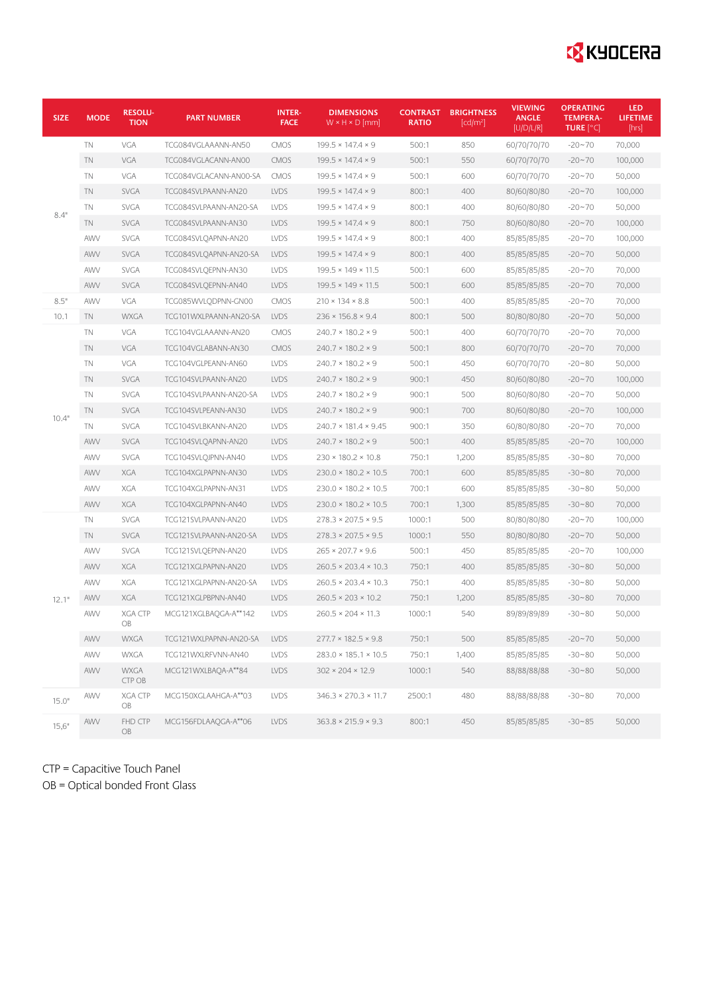# **EX** KYOCERA

| <b>SIZE</b> | <b>MODE</b> | <b>RESOLU-</b><br><b>TION</b> | <b>PART NUMBER</b>     | <b>INTER-</b><br><b>FACE</b> | <b>DIMENSIONS</b><br>$W \times H \times D$ [mm] | <b>CONTRAST</b><br>RATIO | <b>BRIGHTNESS</b><br>[cd/m <sup>2</sup> ] | <b>VIEWING</b><br><b>ANGLE</b><br>[U/D/L/R] | <b>OPERATING</b><br><b>TEMPERA-</b><br>TURE [°C] | <b>LED</b><br><b>LIFETIME</b><br>[hrs] |
|-------------|-------------|-------------------------------|------------------------|------------------------------|-------------------------------------------------|--------------------------|-------------------------------------------|---------------------------------------------|--------------------------------------------------|----------------------------------------|
| 8.4"        | TN          | VGA                           | TCG084VGLAAANN-AN50    | <b>CMOS</b>                  | $199.5 \times 147.4 \times 9$                   | 500:1                    | 850                                       | 60/70/70/70                                 | $-20 - 70$                                       | 70,000                                 |
|             | TN          | VGA                           | TCG084VGLACANN-AN00    | <b>CMOS</b>                  | $199.5 \times 147.4 \times 9$                   | 500:1                    | 550                                       | 60/70/70/70                                 | $-20 - 70$                                       | 100,000                                |
|             | TN          | VGA                           | TCG084VGLACANN-AN00-SA | <b>CMOS</b>                  | $199.5 \times 147.4 \times 9$                   | 500:1                    | 600                                       | 60/70/70/70                                 | $-20 - 70$                                       | 50,000                                 |
|             | TN          | <b>SVGA</b>                   | TCG084SVLPAANN-AN20    | <b>LVDS</b>                  | $199.5 \times 147.4 \times 9$                   | 800:1                    | 400                                       | 80/60/80/80                                 | $-20 - 70$                                       | 100,000                                |
|             | TN          | <b>SVGA</b>                   | TCG084SVLPAANN-AN20-SA | <b>LVDS</b>                  | $199.5 \times 147.4 \times 9$                   | 800:1                    | 400                                       | 80/60/80/80                                 | $-20 - 70$                                       | 50,000                                 |
|             | <b>TN</b>   | <b>SVGA</b>                   | TCG084SVLPAANN-AN30    | LVDS                         | $199.5 \times 147.4 \times 9$                   | 800:1                    | 750                                       | 80/60/80/80                                 | $-20 - 70$                                       | 100,000                                |
|             | AWV         | <b>SVGA</b>                   | TCG084SVLQAPNN-AN20    | LVDS                         | $199.5 \times 147.4 \times 9$                   | 800:1                    | 400                                       | 85/85/85/85                                 | $-20 - 70$                                       | 100,000                                |
|             | AWV         | <b>SVGA</b>                   | TCG084SVLQAPNN-AN20-SA | <b>LVDS</b>                  | $199.5 \times 147.4 \times 9$                   | 800:1                    | 400                                       | 85/85/85/85                                 | $-20 - 70$                                       | 50,000                                 |
|             | AWV         | <b>SVGA</b>                   | TCG084SVLQEPNN-AN30    | <b>LVDS</b>                  | $199.5 \times 149 \times 11.5$                  | 500:1                    | 600                                       | 85/85/85/85                                 | $-20 - 70$                                       | 70,000                                 |
|             | AWV         | <b>SVGA</b>                   | TCG084SVLQEPNN-AN40    | <b>LVDS</b>                  | $199.5 \times 149 \times 11.5$                  | 500:1                    | 600                                       | 85/85/85/85                                 | $-20 - 70$                                       | 70,000                                 |
| 8.5"        | AWV         | VGA                           | TCG085WVLQDPNN-GN00    | <b>CMOS</b>                  | $210 \times 134 \times 8.8$                     | 500:1                    | 400                                       | 85/85/85/85                                 | $-20 - 70$                                       | 70,000                                 |
| 10.1        | <b>TN</b>   | <b>WXGA</b>                   | TCG101WXLPAANN-AN20-SA | <b>LVDS</b>                  | $236 \times 156.8 \times 9.4$                   | 800:1                    | 500                                       | 80/80/80/80                                 | $-20 - 70$                                       | 50,000                                 |
| 10.4"       | TN          | VGA                           | TCG104VGLAAANN-AN20    | CMOS                         | $240.7 \times 180.2 \times 9$                   | 500:1                    | 400                                       | 60/70/70/70                                 | $-20 - 70$                                       | 70,000                                 |
|             | TN          | VGA                           | TCG104VGLABANN-AN30    | <b>CMOS</b>                  | $240.7 \times 180.2 \times 9$                   | 500:1                    | 800                                       | 60/70/70/70                                 | $-20 - 70$                                       | 70,000                                 |
|             | TN          | VGA                           | TCG104VGLPEANN-AN60    | LVDS                         | $240.7 \times 180.2 \times 9$                   | 500:1                    | 450                                       | 60/70/70/70                                 | $-20 - 80$                                       | 50,000                                 |
|             | TN          | <b>SVGA</b>                   | TCG104SVLPAANN-AN20    | <b>LVDS</b>                  | $240.7 \times 180.2 \times 9$                   | 900:1                    | 450                                       | 80/60/80/80                                 | $-20 - 70$                                       | 100,000                                |
|             | TN          | <b>SVGA</b>                   | TCG104SVLPAANN-AN20-SA | LVDS                         | $240.7 \times 180.2 \times 9$                   | 900:1                    | 500                                       | 80/60/80/80                                 | $-20 - 70$                                       | 50,000                                 |
|             | TN          | <b>SVGA</b>                   | TCG104SVLPEANN-AN30    | LVDS                         | $240.7 \times 180.2 \times 9$                   | 900:1                    | 700                                       | 80/60/80/80                                 | $-20 - 70$                                       | 100,000                                |
|             | TN          | SVGA                          | TCG104SVLBKANN-AN20    | <b>LVDS</b>                  | $240.7 \times 181.4 \times 9.45$                | 900:1                    | 350                                       | 60/80/80/80                                 | $-20 - 70$                                       | 70,000                                 |
|             | AWV         | <b>SVGA</b>                   | TCG104SVLQAPNN-AN20    | <b>LVDS</b>                  | $240.7 \times 180.2 \times 9$                   | 500:1                    | 400                                       | 85/85/85/85                                 | $-20 - 70$                                       | 100,000                                |
|             | AWV         | <b>SVGA</b>                   | TCG104SVLQJPNN-AN40    | LVDS                         | $230 \times 180.2 \times 10.8$                  | 750:1                    | 1,200                                     | 85/85/85/85                                 | $-30 - 80$                                       | 70,000                                 |
|             | AWV         | XGA                           | TCG104XGLPAPNN-AN30    | <b>LVDS</b>                  | $230.0 \times 180.2 \times 10.5$                | 700:1                    | 600                                       | 85/85/85/85                                 | $-30 - 80$                                       | 70,000                                 |
|             | AWV         | <b>XGA</b>                    | TCG104XGLPAPNN-AN31    | <b>LVDS</b>                  | $230.0 \times 180.2 \times 10.5$                | 700:1                    | 600                                       | 85/85/85/85                                 | $-30 - 80$                                       | 50,000                                 |
|             | AWV         | <b>XGA</b>                    | TCG104XGLPAPNN-AN40    | <b>LVDS</b>                  | $230.0 \times 180.2 \times 10.5$                | 700:1                    | 1,300                                     | 85/85/85/85                                 | $-30 - 80$                                       | 70,000                                 |
| 12.1"       | TN          | <b>SVGA</b>                   | TCG121SVLPAANN-AN20    | LVDS                         | $278.3 \times 207.5 \times 9.5$                 | 1000:1                   | 500                                       | 80/80/80/80                                 | $-20 - 70$                                       | 100,000                                |
|             | TN          | <b>SVGA</b>                   | TCG121SVLPAANN-AN20-SA | <b>LVDS</b>                  | $278.3 \times 207.5 \times 9.5$                 | 1000:1                   | 550                                       | 80/80/80/80                                 | $-20 - 70$                                       | 50,000                                 |
|             | AWV         | <b>SVGA</b>                   | TCG121 SVLQEPNN-AN20   | <b>LVDS</b>                  | $265 \times 207.7 \times 9.6$                   | 500:1                    | 450                                       | 85/85/85/85                                 | $-20 - 70$                                       | 100,000                                |
|             | AWV         | XGA                           | TCG121XGLPAPNN-AN20    | <b>LVDS</b>                  | $260.5 \times 203.4 \times 10.3$                | 750:1                    | 400                                       | 85/85/85/85                                 | $-30 - 80$                                       | 50,000                                 |
|             | AWV         | XGA                           | TCG121XGLPAPNN-AN20-SA | <b>LVDS</b>                  | $260.5 \times 203.4 \times 10.3$                | 750:1                    | 400                                       | 85/85/85/85                                 | $-30 - 80$                                       | 50,000                                 |
|             | AWV         | <b>XGA</b>                    | TCG121XGLPBPNN-AN40    | LVDS                         | $260.5 \times 203 \times 10.2$                  | 750:1                    | 1,200                                     | 85/85/85/85                                 | $-30 - 80$                                       | 70,000                                 |
|             | AWV         | <b>XGA CTP</b><br>OB          | MCG121XGLBAQGA-A**142  | LVDS                         | $260.5 \times 204 \times 11.3$                  | 1000:1                   | 540                                       | 89/89/89/89                                 | $-30 - 80$                                       | 50,000                                 |
|             | AWV         | WXGA                          | TCG121WXLPAPNN-AN20-SA | LVDS                         | $277.7 \times 182.5 \times 9.8$                 | 750:1                    | 500                                       | 85/85/85/85                                 | $-20 - 70$                                       | 50,000                                 |
|             | AWV         | <b>WXGA</b>                   | TCG121WXLRFVNN-AN40    | LVDS                         | $283.0 \times 185.1 \times 10.5$                | 750:1                    | 1,400                                     | 85/85/85/85                                 | $-30 - 80$                                       | 50,000                                 |
|             | AWV         | <b>WXGA</b><br>CTP OB         | MCG121WXLBAQA-A**84    | <b>LVDS</b>                  | $302 \times 204 \times 12.9$                    | 1000:1                   | 540                                       | 88/88/88/88                                 | $-30 - 80$                                       | 50,000                                 |
| 15.0"       | AWV         | <b>XGA CTP</b><br>OB          | MCG150XGLAAHGA-A**03   | LVDS                         | $346.3 \times 270.3 \times 11.7$                | 2500:1                   | 480                                       | 88/88/88/88                                 | $-30 - 80$                                       | 70,000                                 |
| 15,6"       | AWV         | FHD CTP<br>OB                 | MCG156FDLAAQGA-A**06   | LVDS                         | $363.8 \times 215.9 \times 9.3$                 | 800:1                    | 450                                       | 85/85/85/85                                 | $-30 - 85$                                       | 50,000                                 |

CTP = Capacitive Touch Panel OB = Optical bonded Front Glass